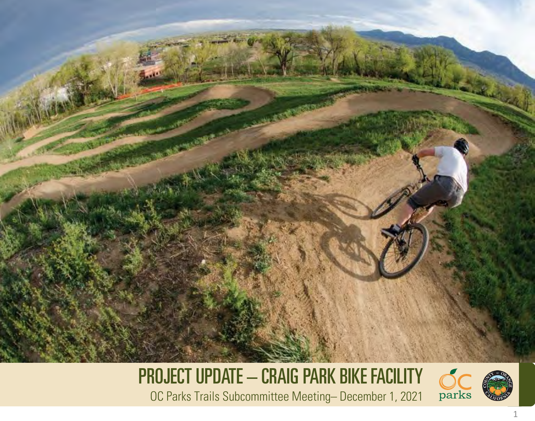

PROJECT UPDATE – CRAIG PARK BIKE FACILITY OC Parks Trails Subcommittee Meeting– December 1, 2021



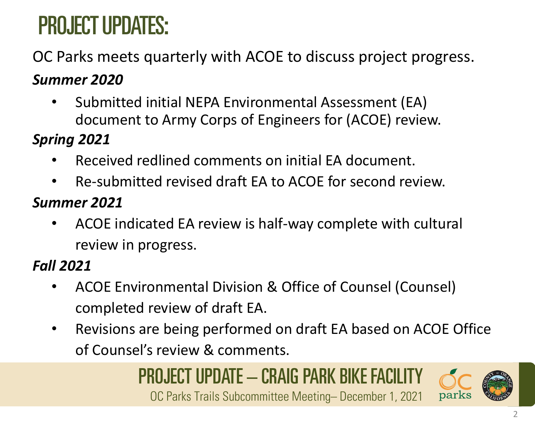# PROJECT UPDATES:

### OC Parks meets quarterly with ACOE to discuss project progress.

#### *Summer 2020*

• Submitted initial NEPA Environmental Assessment (EA) document to Army Corps of Engineers for (ACOE) review.

#### *Spring 2021*

- Received redlined comments on initial EA document.
- Re-submitted revised draft EA to ACOE for second review.

#### *Summer 2021*

• ACOE indicated EA review is half-way complete with cultural review in progress.

### *Fall 2021*

- ACOE Environmental Division & Office of Counsel (Counsel) completed review of draft EA.
- Revisions are being performed on draft EA based on ACOE Office of Counsel's review & comments.

# PROJECT UPDATE – CRAIG PARK BIKE FACILITY

OC Parks Trails Subcommittee Meeting– December 1, 2021

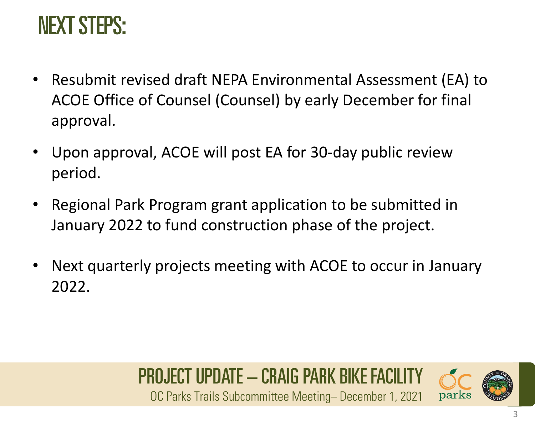### NEXT STEPS:

- Resubmit revised draft NEPA Environmental Assessment (EA) to ACOE Office of Counsel (Counsel) by early December for final approval.
- Upon approval, ACOE will post EA for 30-day public review period.
- Regional Park Program grant application to be submitted in January 2022 to fund construction phase of the project.
- Next quarterly projects meeting with ACOE to occur in January 2022.

# PROJECT UPDATE – CRAIG PARK BIKE FACILITY